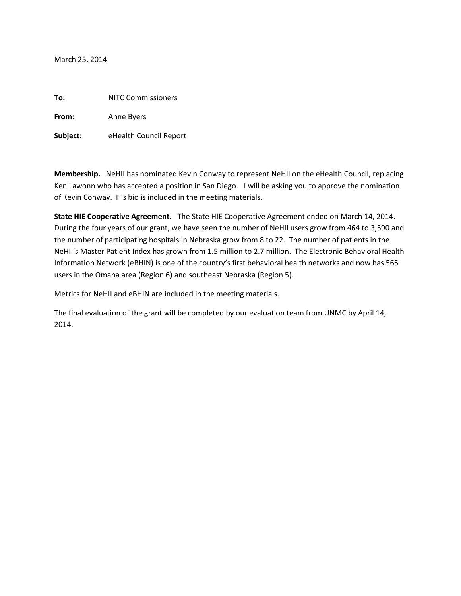March 25, 2014

**To:** NITC Commissioners

**From:** Anne Byers

**Subject:** eHealth Council Report

**Membership.** NeHII has nominated Kevin Conway to represent NeHII on the eHealth Council, replacing Ken Lawonn who has accepted a position in San Diego. I will be asking you to approve the nomination of Kevin Conway. His bio is included in the meeting materials.

**State HIE Cooperative Agreement.** The State HIE Cooperative Agreement ended on March 14, 2014. During the four years of our grant, we have seen the number of NeHII users grow from 464 to 3,590 and the number of participating hospitals in Nebraska grow from 8 to 22. The number of patients in the NeHII's Master Patient Index has grown from 1.5 million to 2.7 million. The Electronic Behavioral Health Information Network (eBHIN) is one of the country's first behavioral health networks and now has 565 users in the Omaha area (Region 6) and southeast Nebraska (Region 5).

Metrics for NeHII and eBHIN are included in the meeting materials.

The final evaluation of the grant will be completed by our evaluation team from UNMC by April 14, 2014.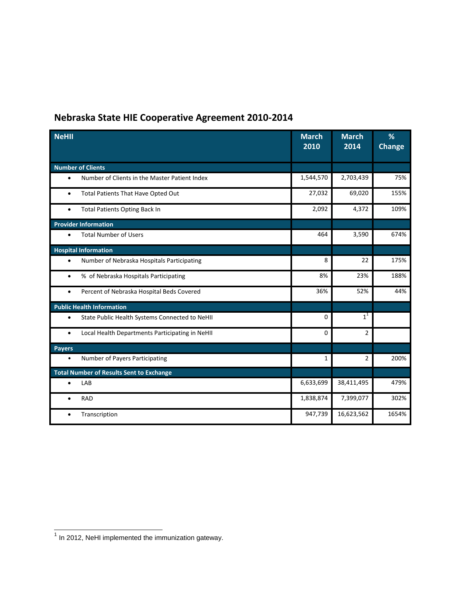## **Nebraska State HIE Cooperative Agreement 2010-2014**

| <b>NeHII</b>                                                 | <b>March</b><br>2010 | <b>March</b><br>2014 | %<br><b>Change</b> |
|--------------------------------------------------------------|----------------------|----------------------|--------------------|
| <b>Number of Clients</b>                                     |                      |                      |                    |
| Number of Clients in the Master Patient Index<br>$\bullet$   | 1,544,570            | 2,703,439            | 75%                |
| Total Patients That Have Opted Out<br>$\bullet$              | 27,032               | 69,020               | 155%               |
| Total Patients Opting Back In<br>$\bullet$                   | 2,092                | 4,372                | 109%               |
| <b>Provider Information</b>                                  |                      |                      |                    |
| <b>Total Number of Users</b><br>$\bullet$                    | 464                  | 3,590                | 674%               |
| <b>Hospital Information</b>                                  |                      |                      |                    |
| Number of Nebraska Hospitals Participating<br>$\bullet$      | 8                    | 22                   | 175%               |
| % of Nebraska Hospitals Participating<br>$\bullet$           | 8%                   | 23%                  | 188%               |
| Percent of Nebraska Hospital Beds Covered<br>$\bullet$       | 36%                  | 52%                  | 44%                |
| <b>Public Health Information</b>                             |                      |                      |                    |
| State Public Health Systems Connected to NeHII<br>$\bullet$  | $\mathbf 0$          | $1^1$                |                    |
| Local Health Departments Participating in NeHII<br>$\bullet$ | 0                    | $\overline{2}$       |                    |
| <b>Payers</b>                                                |                      |                      |                    |
| Number of Payers Participating<br>$\bullet$                  | $\mathbf{1}$         | $\overline{2}$       | 200%               |
| <b>Total Number of Results Sent to Exchange</b>              |                      |                      |                    |
| LAB<br>$\bullet$                                             | 6,633,699            | 38,411,495           | 479%               |
| <b>RAD</b><br>٠                                              | 1,838,874            | 7,399,077            | 302%               |
| Transcription                                                | 947,739              | 16,623,562           | 1654%              |

The 2012, NeHI implemented the immunization gateway.